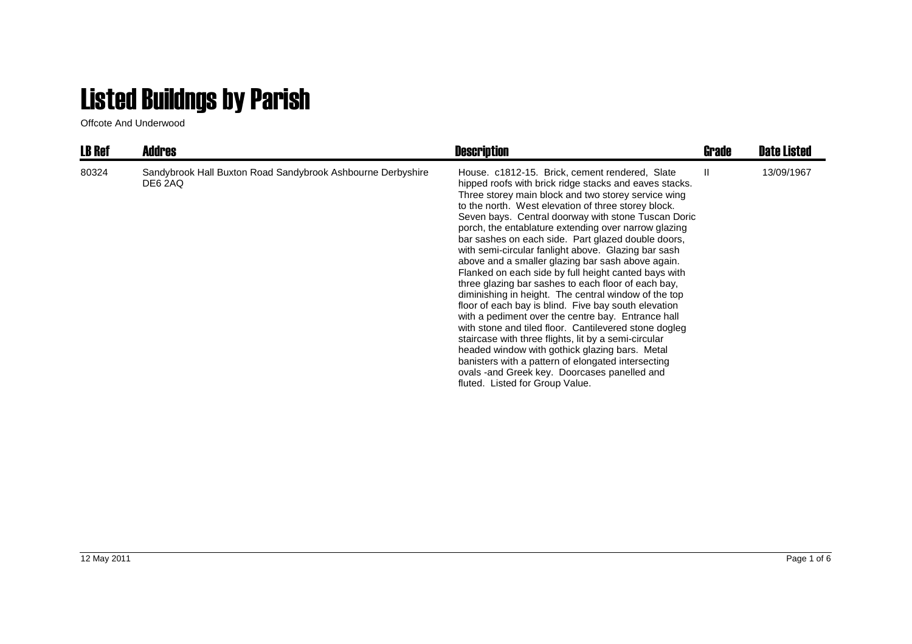## Listed Buildngs by Parish

Offcote And Underwood

| <b>LB Ref</b> | <b>Addres</b>                                                          | <b>Description</b>                                                                                                                                                                                                                                                                                                                                                                                                                                                                                                                                                                                                                                                                                                                                                                                                                                                                                                                                                                                                                                                                                       | Grade        | <b>Date Listed</b> |
|---------------|------------------------------------------------------------------------|----------------------------------------------------------------------------------------------------------------------------------------------------------------------------------------------------------------------------------------------------------------------------------------------------------------------------------------------------------------------------------------------------------------------------------------------------------------------------------------------------------------------------------------------------------------------------------------------------------------------------------------------------------------------------------------------------------------------------------------------------------------------------------------------------------------------------------------------------------------------------------------------------------------------------------------------------------------------------------------------------------------------------------------------------------------------------------------------------------|--------------|--------------------|
| 80324         | Sandybrook Hall Buxton Road Sandybrook Ashbourne Derbyshire<br>DE6 2AQ | House. c1812-15. Brick, cement rendered, Slate<br>hipped roofs with brick ridge stacks and eaves stacks.<br>Three storey main block and two storey service wing<br>to the north. West elevation of three storey block.<br>Seven bays. Central doorway with stone Tuscan Doric<br>porch, the entablature extending over narrow glazing<br>bar sashes on each side. Part glazed double doors,<br>with semi-circular fanlight above. Glazing bar sash<br>above and a smaller glazing bar sash above again.<br>Flanked on each side by full height canted bays with<br>three glazing bar sashes to each floor of each bay,<br>diminishing in height. The central window of the top<br>floor of each bay is blind. Five bay south elevation<br>with a pediment over the centre bay. Entrance hall<br>with stone and tiled floor. Cantilevered stone dogleg<br>staircase with three flights, lit by a semi-circular<br>headed window with gothick glazing bars. Metal<br>banisters with a pattern of elongated intersecting<br>ovals -and Greek key. Doorcases panelled and<br>fluted. Listed for Group Value. | $\mathbf{H}$ | 13/09/1967         |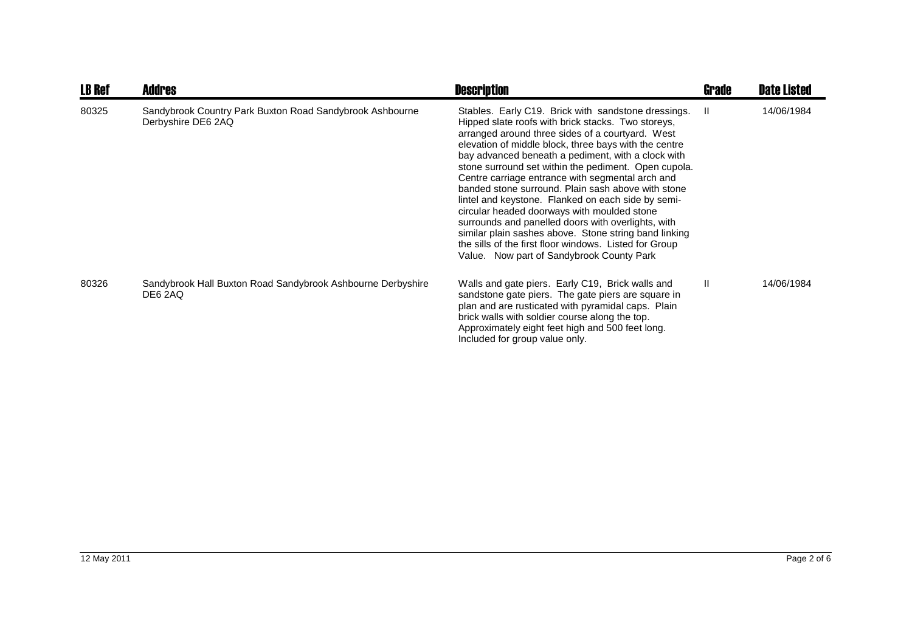| <b>LB Ref</b> | <b>Addres</b>                                                                  | <b>Description</b>                                                                                                                                                                                                                                                                                                                                                                                                                                                                                                                                                                                                                                                                                                                                                        | Grade | <b>Date Listed</b> |
|---------------|--------------------------------------------------------------------------------|---------------------------------------------------------------------------------------------------------------------------------------------------------------------------------------------------------------------------------------------------------------------------------------------------------------------------------------------------------------------------------------------------------------------------------------------------------------------------------------------------------------------------------------------------------------------------------------------------------------------------------------------------------------------------------------------------------------------------------------------------------------------------|-------|--------------------|
| 80325         | Sandybrook Country Park Buxton Road Sandybrook Ashbourne<br>Derbyshire DE6 2AQ | Stables. Early C19. Brick with sandstone dressings.<br>Hipped slate roofs with brick stacks. Two storeys,<br>arranged around three sides of a courtyard. West<br>elevation of middle block, three bays with the centre<br>bay advanced beneath a pediment, with a clock with<br>stone surround set within the pediment. Open cupola.<br>Centre carriage entrance with segmental arch and<br>banded stone surround. Plain sash above with stone<br>lintel and keystone. Flanked on each side by semi-<br>circular headed doorways with moulded stone<br>surrounds and panelled doors with overlights, with<br>similar plain sashes above. Stone string band linking<br>the sills of the first floor windows. Listed for Group<br>Value. Now part of Sandybrook County Park | -II   | 14/06/1984         |
| 80326         | Sandybrook Hall Buxton Road Sandybrook Ashbourne Derbyshire<br>DE6 2AQ         | Walls and gate piers. Early C19, Brick walls and<br>sandstone gate piers. The gate piers are square in<br>plan and are rusticated with pyramidal caps. Plain<br>brick walls with soldier course along the top.<br>Approximately eight feet high and 500 feet long.<br>Included for group value only.                                                                                                                                                                                                                                                                                                                                                                                                                                                                      | Ш     | 14/06/1984         |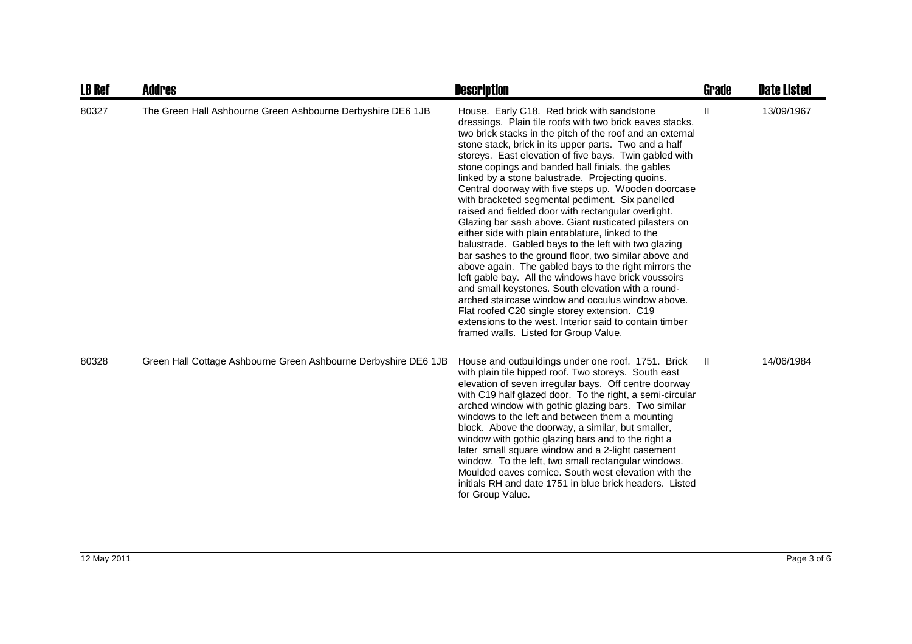| <b>LB Ref</b> | <b>Addres</b>                                                   | <b>Description</b>                                                                                                                                                                                                                                                                                                                                                                                                                                                                                                                                                                                                                                                                                                                                                                                                                                                                                                                                                                                                                                                                                                                                                              | Grade | <b>Date Listed</b> |
|---------------|-----------------------------------------------------------------|---------------------------------------------------------------------------------------------------------------------------------------------------------------------------------------------------------------------------------------------------------------------------------------------------------------------------------------------------------------------------------------------------------------------------------------------------------------------------------------------------------------------------------------------------------------------------------------------------------------------------------------------------------------------------------------------------------------------------------------------------------------------------------------------------------------------------------------------------------------------------------------------------------------------------------------------------------------------------------------------------------------------------------------------------------------------------------------------------------------------------------------------------------------------------------|-------|--------------------|
| 80327         | The Green Hall Ashbourne Green Ashbourne Derbyshire DE6 1JB     | House. Early C18. Red brick with sandstone<br>dressings. Plain tile roofs with two brick eaves stacks,<br>two brick stacks in the pitch of the roof and an external<br>stone stack, brick in its upper parts. Two and a half<br>storeys. East elevation of five bays. Twin gabled with<br>stone copings and banded ball finials, the gables<br>linked by a stone balustrade. Projecting quoins.<br>Central doorway with five steps up. Wooden doorcase<br>with bracketed segmental pediment. Six panelled<br>raised and fielded door with rectangular overlight.<br>Glazing bar sash above. Giant rusticated pilasters on<br>either side with plain entablature, linked to the<br>balustrade. Gabled bays to the left with two glazing<br>bar sashes to the ground floor, two similar above and<br>above again. The gabled bays to the right mirrors the<br>left gable bay. All the windows have brick voussoirs<br>and small keystones. South elevation with a round-<br>arched staircase window and occulus window above.<br>Flat roofed C20 single storey extension. C19<br>extensions to the west. Interior said to contain timber<br>framed walls. Listed for Group Value. | Ш     | 13/09/1967         |
| 80328         | Green Hall Cottage Ashbourne Green Ashbourne Derbyshire DE6 1JB | House and outbuildings under one roof. 1751. Brick<br>with plain tile hipped roof. Two storeys. South east<br>elevation of seven irregular bays. Off centre doorway<br>with C19 half glazed door. To the right, a semi-circular<br>arched window with gothic glazing bars. Two similar<br>windows to the left and between them a mounting<br>block. Above the doorway, a similar, but smaller,<br>window with gothic glazing bars and to the right a<br>later small square window and a 2-light casement<br>window. To the left, two small rectangular windows.<br>Moulded eaves cornice. South west elevation with the<br>initials RH and date 1751 in blue brick headers. Listed<br>for Group Value.                                                                                                                                                                                                                                                                                                                                                                                                                                                                          | H.    | 14/06/1984         |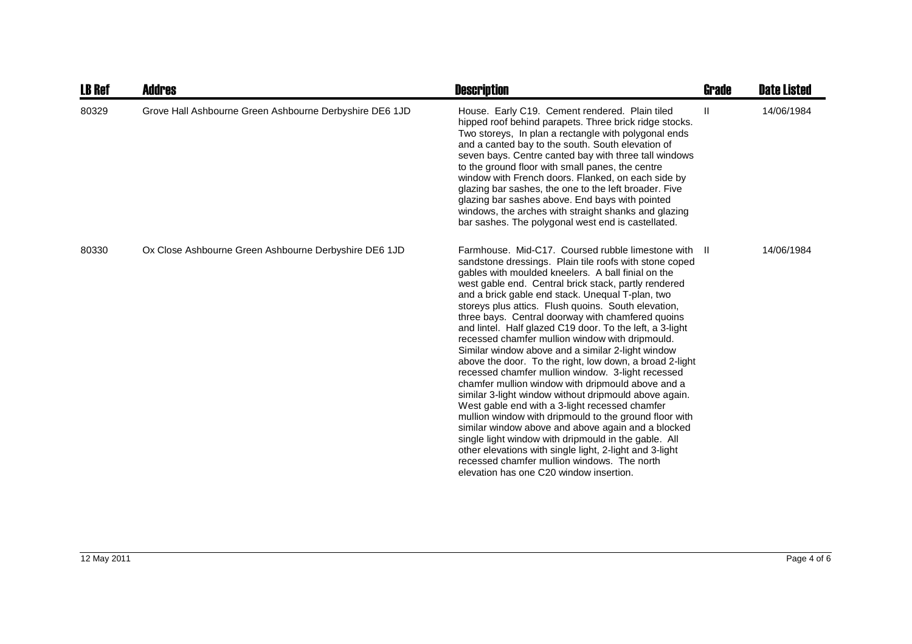| <b>LB Ref</b> | <b>Addres</b>                                           | <b>Description</b>                                                                                                                                                                                                                                                                                                                                                                                                                                                                                                                                                                                                                                                                                                                                                                                                                                                                                                                                                                                                                                                                                                                                                            | <b>Grade</b> | <b>Date Listed</b> |
|---------------|---------------------------------------------------------|-------------------------------------------------------------------------------------------------------------------------------------------------------------------------------------------------------------------------------------------------------------------------------------------------------------------------------------------------------------------------------------------------------------------------------------------------------------------------------------------------------------------------------------------------------------------------------------------------------------------------------------------------------------------------------------------------------------------------------------------------------------------------------------------------------------------------------------------------------------------------------------------------------------------------------------------------------------------------------------------------------------------------------------------------------------------------------------------------------------------------------------------------------------------------------|--------------|--------------------|
| 80329         | Grove Hall Ashbourne Green Ashbourne Derbyshire DE6 1JD | House. Early C19. Cement rendered. Plain tiled<br>hipped roof behind parapets. Three brick ridge stocks.<br>Two storeys, In plan a rectangle with polygonal ends<br>and a canted bay to the south. South elevation of<br>seven bays. Centre canted bay with three tall windows<br>to the ground floor with small panes, the centre<br>window with French doors. Flanked, on each side by<br>glazing bar sashes, the one to the left broader. Five<br>glazing bar sashes above. End bays with pointed<br>windows, the arches with straight shanks and glazing<br>bar sashes. The polygonal west end is castellated.                                                                                                                                                                                                                                                                                                                                                                                                                                                                                                                                                            | $\mathbf{H}$ | 14/06/1984         |
| 80330         | Ox Close Ashbourne Green Ashbourne Derbyshire DE6 1JD   | Farmhouse. Mid-C17. Coursed rubble limestone with II<br>sandstone dressings. Plain tile roofs with stone coped<br>gables with moulded kneelers. A ball finial on the<br>west gable end. Central brick stack, partly rendered<br>and a brick gable end stack. Unequal T-plan, two<br>storeys plus attics. Flush quoins. South elevation,<br>three bays. Central doorway with chamfered quoins<br>and lintel. Half glazed C19 door. To the left, a 3-light<br>recessed chamfer mullion window with dripmould.<br>Similar window above and a similar 2-light window<br>above the door. To the right, low down, a broad 2-light<br>recessed chamfer mullion window. 3-light recessed<br>chamfer mullion window with dripmould above and a<br>similar 3-light window without dripmould above again.<br>West gable end with a 3-light recessed chamfer<br>mullion window with dripmould to the ground floor with<br>similar window above and above again and a blocked<br>single light window with dripmould in the gable. All<br>other elevations with single light, 2-light and 3-light<br>recessed chamfer mullion windows. The north<br>elevation has one C20 window insertion. |              | 14/06/1984         |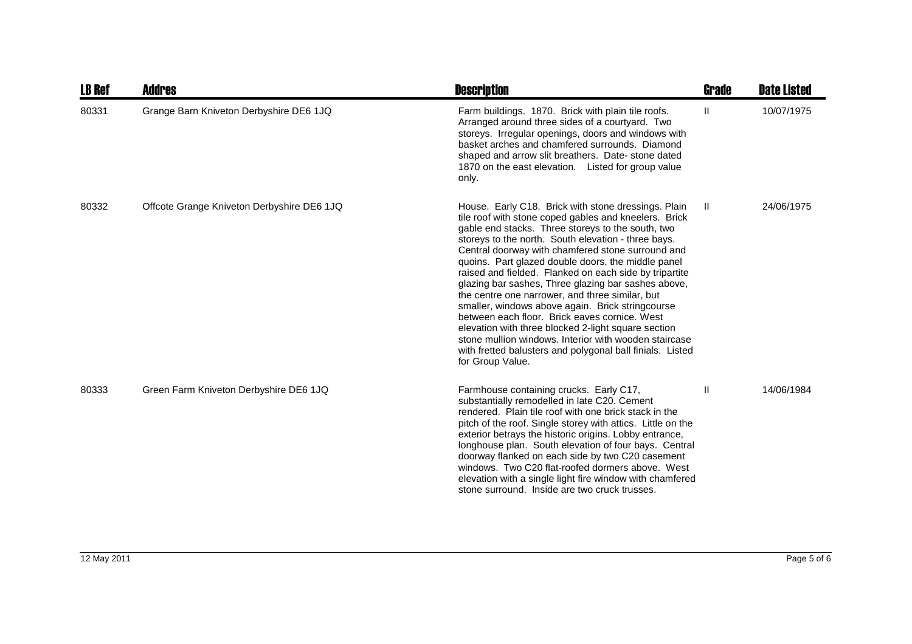| <b>LB Ref</b> | <b>Addres</b>                              | <b>Description</b>                                                                                                                                                                                                                                                                                                                                                                                                                                                                                                                                                                                                                                                                                                                                                                                            | Grade | <b>Date Listed</b> |
|---------------|--------------------------------------------|---------------------------------------------------------------------------------------------------------------------------------------------------------------------------------------------------------------------------------------------------------------------------------------------------------------------------------------------------------------------------------------------------------------------------------------------------------------------------------------------------------------------------------------------------------------------------------------------------------------------------------------------------------------------------------------------------------------------------------------------------------------------------------------------------------------|-------|--------------------|
| 80331         | Grange Barn Kniveton Derbyshire DE6 1JQ    | Farm buildings. 1870. Brick with plain tile roofs.<br>Arranged around three sides of a courtyard. Two<br>storeys. Irregular openings, doors and windows with<br>basket arches and chamfered surrounds. Diamond<br>shaped and arrow slit breathers. Date-stone dated<br>1870 on the east elevation. Listed for group value<br>only.                                                                                                                                                                                                                                                                                                                                                                                                                                                                            | Ш.    | 10/07/1975         |
| 80332         | Offcote Grange Kniveton Derbyshire DE6 1JQ | House. Early C18. Brick with stone dressings. Plain<br>tile roof with stone coped gables and kneelers. Brick<br>gable end stacks. Three storeys to the south, two<br>storeys to the north. South elevation - three bays.<br>Central doorway with chamfered stone surround and<br>quoins. Part glazed double doors, the middle panel<br>raised and fielded. Flanked on each side by tripartite<br>glazing bar sashes, Three glazing bar sashes above,<br>the centre one narrower, and three similar, but<br>smaller, windows above again. Brick stringcourse<br>between each floor. Brick eaves cornice. West<br>elevation with three blocked 2-light square section<br>stone mullion windows. Interior with wooden staircase<br>with fretted balusters and polygonal ball finials. Listed<br>for Group Value. | Ш.    | 24/06/1975         |
| 80333         | Green Farm Kniveton Derbyshire DE6 1JQ     | Farmhouse containing crucks. Early C17,<br>substantially remodelled in late C20. Cement<br>rendered. Plain tile roof with one brick stack in the<br>pitch of the roof. Single storey with attics. Little on the<br>exterior betrays the historic origins. Lobby entrance,<br>longhouse plan. South elevation of four bays. Central<br>doorway flanked on each side by two C20 casement<br>windows. Two C20 flat-roofed dormers above. West<br>elevation with a single light fire window with chamfered<br>stone surround. Inside are two cruck trusses.                                                                                                                                                                                                                                                       | Ш     | 14/06/1984         |